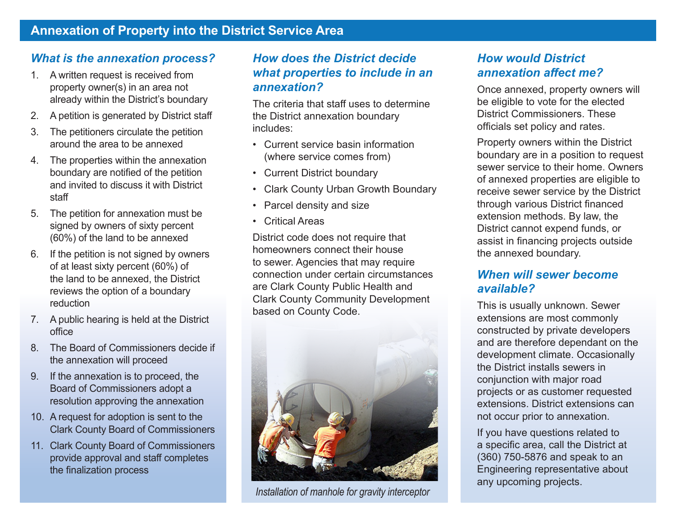#### *What is the annexation process?*

- 1. A written request is received from property owner(s) in an area not already within the District's boundary
- 2. A petition is generated by District staff
- 3. The petitioners circulate the petition around the area to be annexed
- 4. The properties within the annexation boundary are notified of the petition and invited to discuss it with District staff
- 5. The petition for annexation must be signed by owners of sixty percent (60%) of the land to be annexed
- 6. If the petition is not signed by owners of at least sixty percent (60%) of the land to be annexed, the District reviews the option of a boundary reduction
- 7. A public hearing is held at the District office
- 8. The Board of Commissioners decide if the annexation will proceed
- 9. If the annexation is to proceed, the Board of Commissioners adopt a resolution approving the annexation
- 10. A request for adoption is sent to the Clark County Board of Commissioners
- 11. Clark County Board of Commissioners provide approval and staff completes the finalization process

#### *How does the District decide what properties to include in an annexation?*

The criteria that staff uses to determine the District annexation boundary includes:

- • Current service basin information (where service comes from)
- • Current District boundary
- • Clark County Urban Growth Boundary
- Parcel density and size
- • Critical Areas

District code does not require that homeowners connect their house to sewer. Agencies that may require connection under certain circumstances are Clark County Public Health and Clark County Community Development based on County Code.



*Installation of manhole for gravity interceptor* 

#### *How would District annexation affect me?*

Once annexed, property owners will be eligible to vote for the elected District Commissioners. These officials set policy and rates.

Property owners within the District boundary are in a position to request sewer service to their home. Owners of annexed properties are eligible to receive sewer service by the District through various District financed extension methods. By law, the District cannot expend funds, or assist in financing projects outside the annexed boundary.

#### *When will sewer become available?*

This is usually unknown. Sewer extensions are most commonly constructed by private developers and are therefore dependant on the development climate. Occasionally the District installs sewers in conjunction with major road projects or as customer requested extensions. District extensions can not occur prior to annexation.

If you have questions related to a specific area, call the District at (360) 750-5876 and speak to an Engineering representative about any upcoming projects.